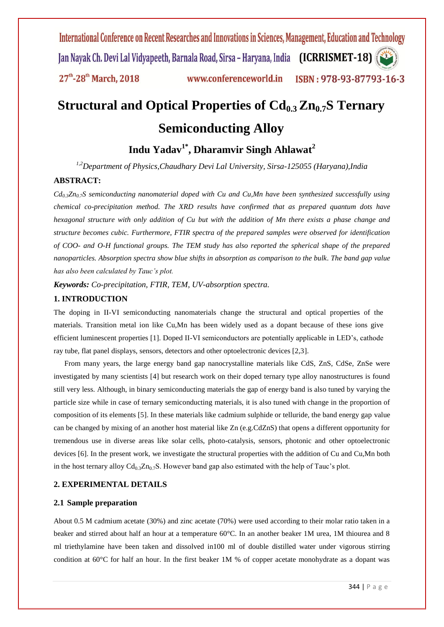# **Structural and Optical Properties of Cd0.3 Zn0.7S Ternary Semiconducting Alloy**

# **Indu Yadav1\* , Dharamvir Singh Ahlawat<sup>2</sup>**

*1,2Department of Physics,Chaudhary Devi Lal University, Sirsa-125055 (Haryana),India*

# **ABSTRACT:**

*Cd0.3Zn0.7S semiconducting nanomaterial doped with Cu and Cu,Mn have been synthesized successfully using chemical co-precipitation method. The XRD results have confirmed that as prepared quantum dots have hexagonal structure with only addition of Cu but with the addition of Mn there exists a phase change and structure becomes cubic. Furthermore, FTIR spectra of the prepared samples were observed for identification of COO- and O-H functional groups. The TEM study has also reported the spherical shape of the prepared nanoparticles. Absorption spectra show blue shifts in absorption as comparison to the bulk. The band gap value has also been calculated by Tauc's plot.*

*Keywords: Co-precipitation, FTIR, TEM, UV-absorption spectra.*

#### **1. INTRODUCTION**

The doping in II-VI semiconducting nanomaterials change the structural and optical properties of the materials. Transition metal ion like Cu,Mn has been widely used as a dopant because of these ions give efficient luminescent properties [1]. Doped II-VI semiconductors are potentially applicable in LED's, cathode ray tube, flat panel displays, sensors, detectors and other optoelectronic devices [2,3].

From many years, the large energy band gap nanocrystalline materials like CdS, ZnS, CdSe, ZnSe were investigated by many scientists [4] but research work on their doped ternary type alloy nanostructures is found still very less. Although, in binary semiconducting materials the gap of energy band is also tuned by varying the particle size while in case of ternary semiconducting materials, it is also tuned with change in the proportion of composition of its elements [5]. In these materials like cadmium sulphide or telluride, the band energy gap value can be changed by mixing of an another host material like Zn (e.g.CdZnS) that opens a different opportunity for tremendous use in diverse areas like solar cells, photo-catalysis, sensors, photonic and other optoelectronic devices [6]. In the present work, we investigate the structural properties with the addition of Cu and Cu,Mn both in the host ternary alloy  $Cd_{0.3}Zn_{0.7}S$ . However band gap also estimated with the help of Tauc's plot.

## **2. EXPERIMENTAL DETAILS**

#### **2.1 Sample preparation**

About 0.5 M cadmium acetate (30%) and zinc acetate (70%) were used according to their molar ratio taken in a beaker and stirred about half an hour at a temperature 60°C. In an another beaker 1M urea, 1M thiourea and 8 ml triethylamine have been taken and dissolved in100 ml of double distilled water under vigorous stirring condition at  $60^{\circ}$ C for half an hour. In the first beaker 1M % of copper acetate monohydrate as a dopant was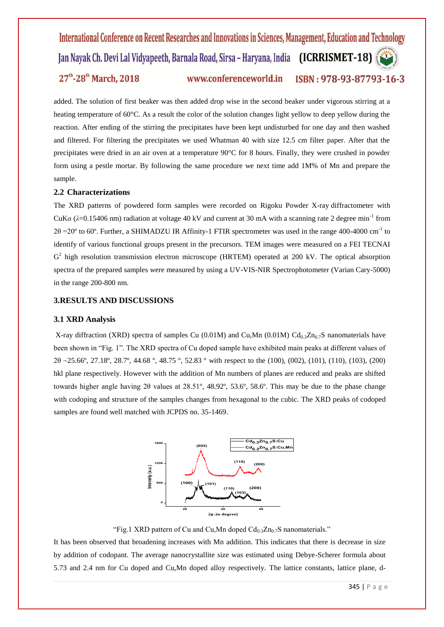added. The solution of first beaker was then added drop wise in the second beaker under vigorous stirring at a heating temperature of 60<sup>o</sup>C. As a result the color of the solution changes light yellow to deep yellow during the reaction. After ending of the stirring the precipitates have been kept undisturbed for one day and then washed and filtered. For filtering the precipitates we used Whatman 40 with size 12.5 cm filter paper. After that the precipitates were dried in an air oven at a temperature 90°C for 8 hours. Finally, they were crushed in powder form using a pestle mortar. By following the same procedure we next time add 1M% of Mn and prepare the sample.

#### **2.2 Characterizations**

The XRD patterns of powdered form samples were recorded on Rigoku Powder X-ray diffractometer with CuK $\alpha$  ( $\lambda$ =0.15406 nm) radiation at voltage 40 kV and current at 30 mA with a scanning rate 2 degree min<sup>-1</sup> from  $2\theta = 20^{\circ}$  to 60°. Further, a SHIMADZU IR Affinity-1 FTIR spectrometer was used in the range 400-4000 cm<sup>-1</sup> to identify of various functional groups present in the precursors. TEM images were measured on a FEI TECNAI G<sup>2</sup> high resolution transmission electron microscope (HRTEM) operated at 200 kV. The optical absorption spectra of the prepared samples were measured by using a UV-VIS-NIR Spectrophotometer (Varian Cary-5000) in the range 200-800 nm.

### **3.RESULTS AND DISCUSSIONS**

#### **3.1 XRD Analysis**

X-ray diffraction (XRD) spectra of samples Cu (0.01M) and Cu,Mn (0.01M) Cd<sub>0.3</sub>Zn<sub>0.7</sub>S nanomaterials have been shown in "Fig. 1". The XRD spectra of Cu doped sample have exhibited main peaks at different values of 2θ ~25.66º, 27.18º, 28.7º, 44.68 º, 48.75 º, 52.83 º with respect to the (100), (002), (101), (110), (103), (200) hkl plane respectively. However with the addition of Mn numbers of planes are reduced and peaks are shifted towards higher angle having 2θ values at 28.51º, 48.92º, 53.6º, 58.6º. This may be due to the phase change with codoping and structure of the samples changes from hexagonal to the cubic. The XRD peaks of codoped samples are found well matched with JCPDS no. 35-1469.



"Fig.1 XRD pattern of Cu and Cu, Mn doped  $Cd_0$ <sub>3</sub> $Zn_0$ <sub>7</sub>S nanomaterials."

It has been observed that broadening increases with Mn addition. This indicates that there is decrease in size by addition of codopant. The average nanocrystallite size was estimated using Debye-Scherer formula about 5.73 and 2.4 nm for Cu doped and Cu,Mn doped alloy respectively. The lattice constants, lattice plane, d-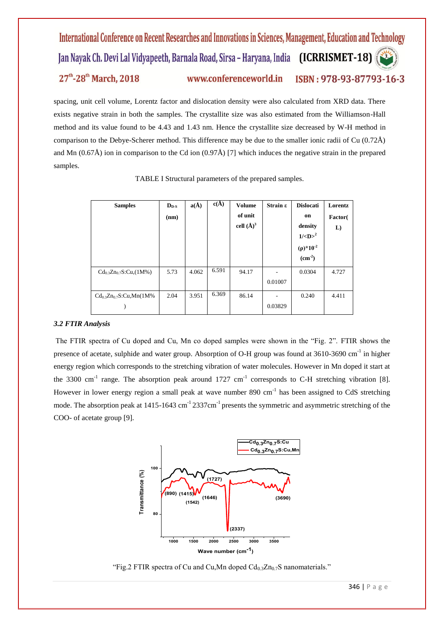spacing, unit cell volume, Lorentz factor and dislocation density were also calculated from XRD data. There exists negative strain in both the samples. The crystallite size was also estimated from the Williamson-Hall method and its value found to be 4.43 and 1.43 nm. Hence the crystallite size decreased by W-H method in comparison to the Debye-Scherer method. This difference may be due to the smaller ionic radii of Cu (0.72Å) and Mn  $(0.67\text{Å})$  ion in comparison to the Cd ion  $(0.97\text{Å})$  [7] which induces the negative strain in the prepared samples.

| <b>Samples</b>                 | $D_{D-S}$ | $a(\AA)$ | $c(\dot{A})$ | <b>Volume</b>  | $Strain \varepsilon$ | <b>Dislocati</b>        | Lorentz |
|--------------------------------|-----------|----------|--------------|----------------|----------------------|-------------------------|---------|
|                                | (nm)      |          |              | of unit        |                      | on                      | Factor( |
|                                |           |          |              | cell $(\AA)^3$ |                      | density                 | L)      |
|                                |           |          |              |                |                      | $1/\langle D \rangle^2$ |         |
|                                |           |          |              |                |                      | $(\rho)^* 10^{-2}$      |         |
|                                |           |          |              |                |                      | $\text{cm}^2$ )         |         |
| $Cd_{0.3}Zn_{0.7}S:Cu,(1M%)$   | 5.73      | 4.062    | 6.591        | 94.17          |                      | 0.0304                  | 4.727   |
|                                |           |          |              |                | 0.01007              |                         |         |
| $Cd_{0.3}Zn_{0.7}S$ :Cu,Mn(1M% | 2.04      | 3.951    | 6.369        | 86.14          |                      | 0.240                   | 4.411   |
|                                |           |          |              |                | 0.03829              |                         |         |

TABLE I Structural parameters of the prepared samples.

### *3.2 FTIR Analysis*

The FTIR spectra of Cu doped and Cu, Mn co doped samples were shown in the "Fig. 2". FTIR shows the presence of acetate, sulphide and water group. Absorption of O-H group was found at 3610-3690 cm<sup>-1</sup> in higher energy region which corresponds to the stretching vibration of water molecules. However in Mn doped it start at the 3300 cm<sup>-1</sup> range. The absorption peak around  $1727 \text{ cm}^{-1}$  corresponds to C-H stretching vibration [8]. However in lower energy region a small peak at wave number 890 cm<sup>-1</sup> has been assigned to CdS stretching mode. The absorption peak at  $1415$ -1643 cm<sup>-1</sup> 2337cm<sup>-1</sup> presents the symmetric and asymmetric stretching of the COO- of acetate group [9].



"Fig.2 FTIR spectra of Cu and Cu, Mn doped  $Cd_{0.3}Zn_{0.7}S$  nanomaterials."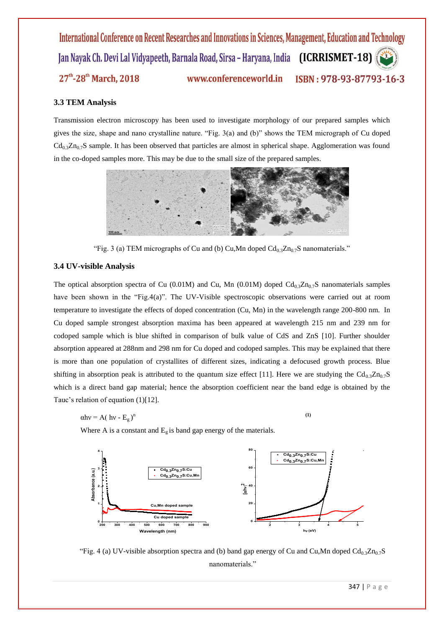# **3.3 TEM Analysis**

Transmission electron microscopy has been used to investigate morphology of our prepared samples which gives the size, shape and nano crystalline nature. "Fig. 3(a) and (b)" shows the TEM micrograph of Cu doped  $Cd_{0.3}Zn_{0.7}S$  sample. It has been observed that particles are almost in spherical shape. Agglomeration was found in the co-doped samples more. This may be due to the small size of the prepared samples.



"Fig. 3 (a) TEM micrographs of Cu and (b) Cu, Mn doped  $Cd_{0.3}Zn_{0.7}S$  nanomaterials."

#### **3.4 UV-visible Analysis**

The optical absorption spectra of Cu (0.01M) and Cu, Mn (0.01M) doped  $Cd_{0.3}Zn_{0.7}S$  nanomaterials samples have been shown in the "Fig.4(a)". The UV-Visible spectroscopic observations were carried out at room temperature to investigate the effects of doped concentration (Cu, Mn) in the wavelength range 200-800 nm. In Cu doped sample strongest absorption maxima has been appeared at wavelength 215 nm and 239 nm for codoped sample which is blue shifted in comparison of bulk value of CdS and ZnS [10]. Further shoulder absorption appeared at 288nm and 298 nm for Cu doped and codoped samples. This may be explained that there is more than one population of crystallites of different sizes, indicating a defocused growth process. Blue shifting in absorption peak is attributed to the quantum size effect [11]. Here we are studying the  $Cd_{0.3}Zn_{0.7}S$ which is a direct band gap material; hence the absorption coefficient near the band edge is obtained by the Tauc's relation of equation (1)[12].

$$
\alpha h v = A(\; h v - E_g)^n
$$

n **(1)** 

Where A is a constant and  $E<sub>g</sub>$  is band gap energy of the materials.